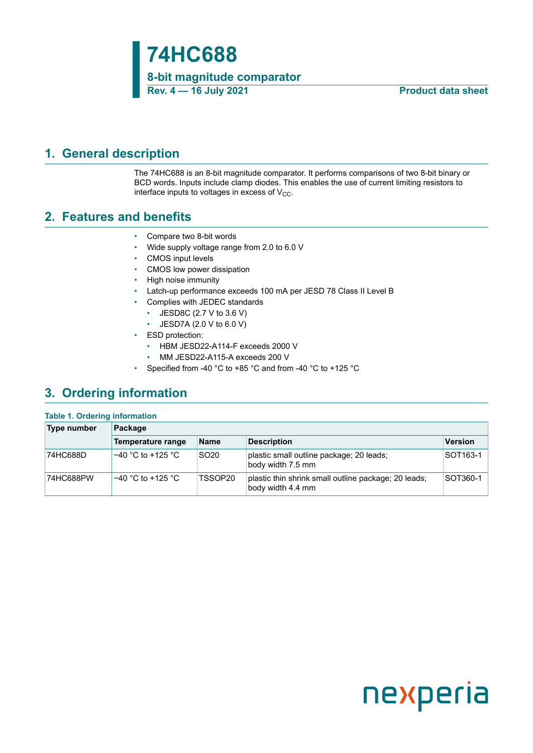**74HC688**

**8-bit magnitude comparator Rev. 4 — 16 July 2021 Product data sheet**

### <span id="page-0-1"></span>**1. General description**

The 74HC688 is an 8-bit magnitude comparator. It performs comparisons of two 8-bit binary or BCD words. Inputs include clamp diodes. This enables the use of current limiting resistors to interface inputs to voltages in excess of  $V_{CC}$ .

### <span id="page-0-0"></span>**2. Features and benefits**

- Compare two 8-bit words
- Wide supply voltage range from 2.0 to 6.0 V
- CMOS input levels
- CMOS low power dissipation
- High noise immunity
- Latch-up performance exceeds 100 mA per JESD 78 Class II Level B
- Complies with JEDEC standards
	- JESD8C (2.7 V to 3.6 V)
	- JESD7A (2.0 V to 6.0 V)
- ESD protection:
	- HBM JESD22-A114-F exceeds 2000 V
	- MM JESD22-A115-A exceeds 200 V
- Specified from -40 °C to +85 °C and from -40 °C to +125 °C

### <span id="page-0-2"></span>**3. Ordering information**

#### **Table 1. Ordering information**

| Type number | Package             |                  |                                                                           |                |  |  |
|-------------|---------------------|------------------|---------------------------------------------------------------------------|----------------|--|--|
|             | Temperature range   | <b>Name</b>      | <b>Description</b>                                                        | <b>Version</b> |  |  |
| 74HC688D    | $-40$ °C to +125 °C | SO <sub>20</sub> | plastic small outline package; 20 leads;<br>body width 7.5 mm             | SOT163-1       |  |  |
| 74HC688PW   | $-40$ °C to +125 °C | TSSOP20          | plastic thin shrink small outline package; 20 leads;<br>body width 4.4 mm | SOT360-1       |  |  |

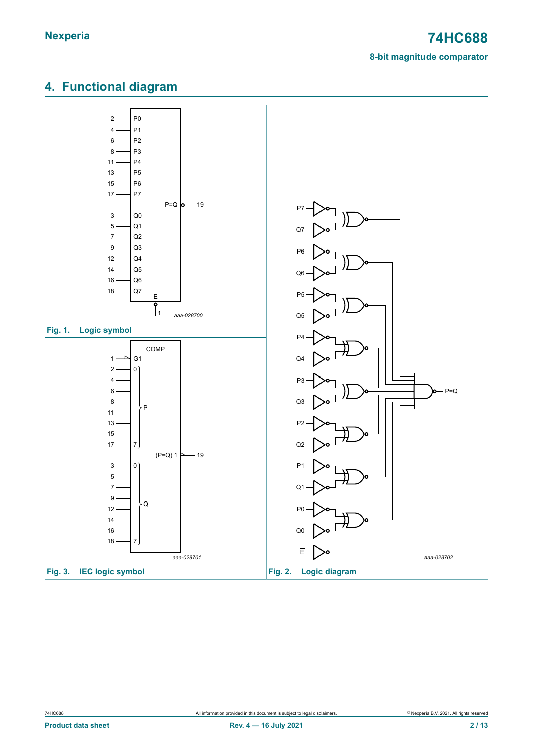# <span id="page-1-0"></span>**4. Functional diagram**

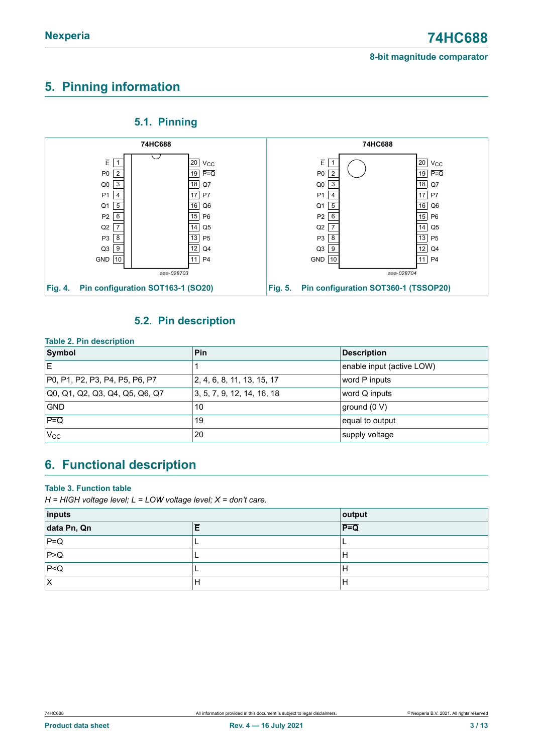### <span id="page-2-0"></span>**5. Pinning information**



### <span id="page-2-1"></span>**5.1. Pinning**

### <span id="page-2-2"></span>**5.2. Pin description**

### **Table 2. Pin description**

| Symbol                         | Pin                        | <b>Description</b>        |
|--------------------------------|----------------------------|---------------------------|
| İΕ                             |                            | enable input (active LOW) |
| P0, P1, P2, P3, P4, P5, P6, P7 | 2, 4, 6, 8, 11, 13, 15, 17 | word P inputs             |
| Q0, Q1, Q2, Q3, Q4, Q5, Q6, Q7 | 3, 5, 7, 9, 12, 14, 16, 18 | word Q inputs             |
| <b>GND</b>                     | 10                         | ground (0 V)              |
| $P = Q$                        | 19                         | equal to output           |
| $V_{\rm CC}$                   | 20                         | supply voltage            |

### <span id="page-2-3"></span>**6. Functional description**

#### **Table 3. Function table**

*H = HIGH voltage level; L = LOW voltage level; X = don't care.*

| inputs       | output |         |
|--------------|--------|---------|
| data Pn, Qn  |        | $P = Q$ |
| $P = Q$      |        |         |
| P > Q        |        | Н       |
| P < Q        |        | Н       |
| $\checkmark$ |        | Н       |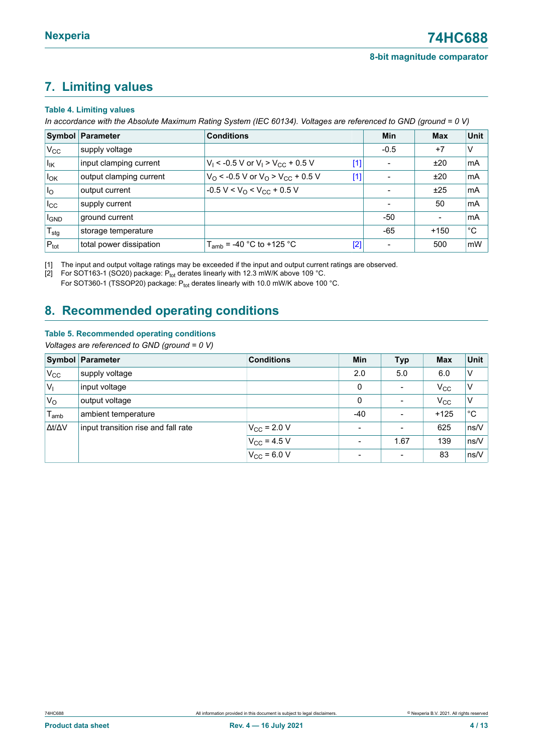## <span id="page-3-1"></span><span id="page-3-0"></span>**7. Limiting values**

#### **Table 4. Limiting values**

In accordance with the Absolute Maximum Rating System (IEC 60134). Voltages are referenced to GND (ground = 0 V)

|                  | Symbol Parameter        | <b>Conditions</b>                                                      | Min                      | <b>Max</b>               | Unit        |
|------------------|-------------------------|------------------------------------------------------------------------|--------------------------|--------------------------|-------------|
| $V_{CC}$         | supply voltage          |                                                                        | $-0.5$                   | $+7$                     | V           |
| $I_{IK}$         | input clamping current  | $V_1$ < -0.5 V or $V_1$ > $V_{CC}$ + 0.5 V<br>$[1]$                    |                          | ±20                      | mA          |
| $I_{OK}$         | output clamping current | $V_{\rm O}$ < -0.5 V or $V_{\rm O}$ > V <sub>CC</sub> + 0.5 V<br>$[1]$ |                          | ±20                      | mA          |
| I <sub>O</sub>   | output current          | $-0.5 V < VO < VCC + 0.5 V$                                            |                          | ±25                      | mA          |
| $I_{\rm CC}$     | supply current          |                                                                        |                          | 50                       | mA          |
| <b>I</b> GND     | ground current          |                                                                        | -50                      | $\overline{\phantom{a}}$ | mA          |
| $T_{\text{stg}}$ | storage temperature     |                                                                        | $-65$                    | $+150$                   | $^{\circ}C$ |
| $P_{\text{tot}}$ | total power dissipation | $T_{amb}$ = -40 °C to +125 °C<br>[2]                                   | $\overline{\phantom{a}}$ | 500                      | mW          |

[1] The input and output voltage ratings may be exceeded if the input and output current ratings are observed.<br>[2] For SOT163-1 (SO20) package: P<sub>tot</sub> derates linearly with 12.3 mW/K above 109 °C.

For SOT163-1 (SO20) package:  $P_{tot}$  derates linearly with 12.3 mW/K above 109 °C.

For SOT360-1 (TSSOP20) package: P<sub>tot</sub> derates linearly with 10.0 mW/K above 100 °C.

## <span id="page-3-2"></span>**8. Recommended operating conditions**

#### **Table 5. Recommended operating conditions**

*Voltages are referenced to GND (ground = 0 V)*

|                     | <b>Symbol Parameter</b>             | <b>Conditions</b>       | <b>Min</b>               | <b>Typ</b>               | <b>Max</b>   | Unit        |
|---------------------|-------------------------------------|-------------------------|--------------------------|--------------------------|--------------|-------------|
| $V_{\rm CC}$        | supply voltage                      |                         | 2.0                      | 5.0                      | 6.0          | V           |
| $ V_1$              | input voltage                       |                         | 0                        | $\overline{\phantom{a}}$ | $V_{\rm CC}$ | v           |
| $V_{\rm O}$         | output voltage                      |                         | 0                        | $\,$                     | $V_{\rm CC}$ | V           |
| $T_{amb}$           | ambient temperature                 |                         | $-40$                    |                          | $+125$       | $^{\circ}C$ |
| $\Delta t/\Delta V$ | input transition rise and fall rate | $V_{\rm CC}$ = 2.0 V    | $\overline{\phantom{0}}$ | $\,$                     | 625          | ns/V        |
|                     |                                     | $V_{\text{CC}}$ = 4.5 V | $\overline{\phantom{0}}$ | 1.67                     | 139          | ns/V        |
|                     |                                     | $V_{CC}$ = 6.0 V        | $\overline{\phantom{0}}$ | $\blacksquare$           | 83           | ns/V        |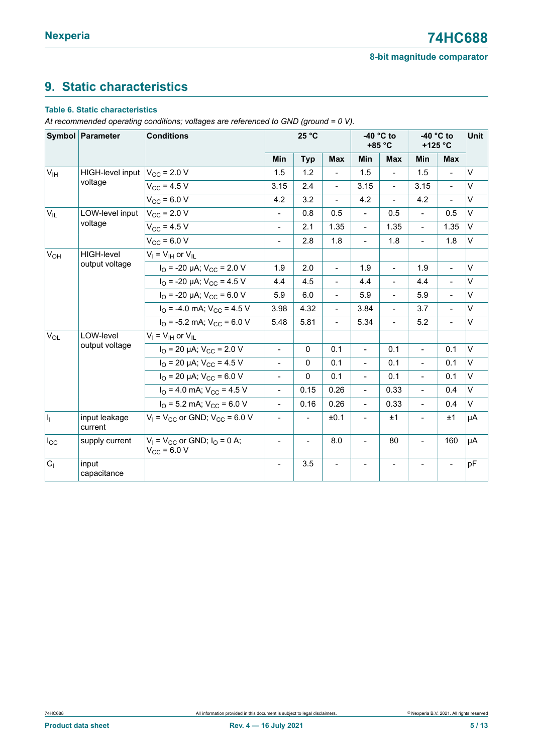## <span id="page-4-0"></span>**9. Static characteristics**

### **Table 6. Static characteristics**

*At recommended operating conditions; voltages are referenced to GND (ground = 0 V).*

|                       | Symbol Parameter         | 25 °C<br><b>Conditions</b>                              |                          |                | -40 $^{\circ}$ C to<br>+85 °C |                          | -40 $^{\circ}$ C to<br>+125 °C |                | <b>Unit</b>              |        |
|-----------------------|--------------------------|---------------------------------------------------------|--------------------------|----------------|-------------------------------|--------------------------|--------------------------------|----------------|--------------------------|--------|
|                       |                          |                                                         | Min                      | <b>Typ</b>     | <b>Max</b>                    | <b>Min</b>               | <b>Max</b>                     | Min            | <b>Max</b>               |        |
| V <sub>IH</sub>       | HIGH-level input         | $V_{\rm CC}$ = 2.0 V                                    | 1.5                      | 1.2            | $\blacksquare$                | 1.5                      |                                | 1.5            | $\frac{1}{2}$            | $\vee$ |
|                       | voltage                  | $V_{CC}$ = 4.5 V                                        | 3.15                     | 2.4            | $\blacksquare$                | 3.15                     | $\overline{\phantom{a}}$       | 3.15           | $\overline{a}$           | V      |
|                       |                          | $V_{CC}$ = 6.0 V                                        | 4.2                      | 3.2            | $\blacksquare$                | 4.2                      |                                | 4.2            | $\overline{\phantom{a}}$ | V      |
| $V_{IL}$              | LOW-level input          | $V_{\rm CC}$ = 2.0 V                                    | $\overline{\phantom{0}}$ | 0.8            | 0.5                           | $\overline{\phantom{a}}$ | 0.5                            | $\blacksquare$ | 0.5                      | V      |
|                       | voltage                  | $V_{CC}$ = 4.5 V                                        | $\overline{a}$           | 2.1            | 1.35                          | $\overline{\phantom{0}}$ | 1.35                           | $\blacksquare$ | 1.35                     | $\vee$ |
|                       |                          | $V_{CC}$ = 6.0 V                                        | $\overline{a}$           | 2.8            | 1.8                           | $\overline{\phantom{0}}$ | 1.8                            |                | 1.8                      | $\vee$ |
| <b>V<sub>OH</sub></b> | HIGH-level               | $V_I = V_{IH}$ or $V_{IL}$                              |                          |                |                               |                          |                                |                |                          |        |
|                       | output voltage           | $I_{\Omega}$ = -20 µA; $V_{\text{CC}}$ = 2.0 V          | 1.9                      | 2.0            | $\blacksquare$                | 1.9                      | $\blacksquare$                 | 1.9            | $\overline{\phantom{a}}$ | $\vee$ |
|                       |                          | $I_{\text{O}}$ = -20 µA; $V_{\text{CC}}$ = 4.5 V        | 4.4                      | 4.5            | $\blacksquare$                | 4.4                      | $\blacksquare$                 | 4.4            | $\overline{a}$           | $\vee$ |
|                       |                          | $I_{\text{O}}$ = -20 µA; $V_{\text{CC}}$ = 6.0 V        | 5.9                      | 6.0            | $\blacksquare$                | 5.9                      | $\blacksquare$                 | 5.9            | $\blacksquare$           | $\vee$ |
|                       |                          | $I_{\Omega}$ = -4.0 mA; $V_{\text{CC}}$ = 4.5 V         | 3.98                     | 4.32           | $\blacksquare$                | 3.84                     | $\overline{\phantom{a}}$       | 3.7            | $\blacksquare$           | V      |
|                       |                          | $I_{\Omega}$ = -5.2 mA; $V_{\text{CC}}$ = 6.0 V         | 5.48                     | 5.81           | $\overline{\phantom{a}}$      | 5.34                     | $\overline{\phantom{0}}$       | 5.2            | $\blacksquare$           | V      |
| $V_{OL}$              | LOW-level                | $V_I = V_{IH}$ or $V_{IL}$                              |                          |                |                               |                          |                                |                |                          |        |
|                       | output voltage           | $I_{\text{O}}$ = 20 µA; $V_{\text{CC}}$ = 2.0 V         | $\overline{a}$           | $\mathbf 0$    | 0.1                           | $\overline{a}$           | 0.1                            | $\sim$         | 0.1                      | $\vee$ |
|                       |                          | $I_{\text{O}}$ = 20 µA; $V_{\text{CC}}$ = 4.5 V         |                          | $\mathbf{0}$   | 0.1                           |                          | 0.1                            |                | 0.1                      | $\vee$ |
|                       |                          | $I_{\Omega}$ = 20 µA; $V_{\text{CC}}$ = 6.0 V           | $\overline{a}$           | $\Omega$       | 0.1                           | $\overline{\phantom{0}}$ | 0.1                            | $\overline{a}$ | 0.1                      | $\vee$ |
|                       |                          | $I_{\Omega}$ = 4.0 mA; $V_{\text{CC}}$ = 4.5 V          | $\overline{a}$           | 0.15           | 0.26                          | $\overline{\phantom{0}}$ | 0.33                           | $\blacksquare$ | 0.4                      | V      |
|                       |                          | $IO$ = 5.2 mA; $VCC$ = 6.0 V                            | $\overline{a}$           | 0.16           | 0.26                          | $\overline{\phantom{a}}$ | 0.33                           | $\blacksquare$ | 0.4                      | V      |
| h,                    | input leakage<br>current | $V_1$ = $V_{CC}$ or GND; $V_{CC}$ = 6.0 V               | $\frac{1}{2}$            | $\blacksquare$ | ±0.1                          | $\blacksquare$           | ±1                             | $\blacksquare$ | ±1                       | μA     |
| $I_{\rm CC}$          | supply current           | $V_1 = V_{CC}$ or GND; $I_Q = 0$ A;<br>$V_{CC}$ = 6.0 V | $\overline{\phantom{a}}$ | $\blacksquare$ | 8.0                           | $\blacksquare$           | 80                             | $\blacksquare$ | 160                      | μA     |
| C <sub>1</sub>        | input<br>capacitance     |                                                         |                          | 3.5            |                               |                          |                                |                | $\frac{1}{2}$            | pF     |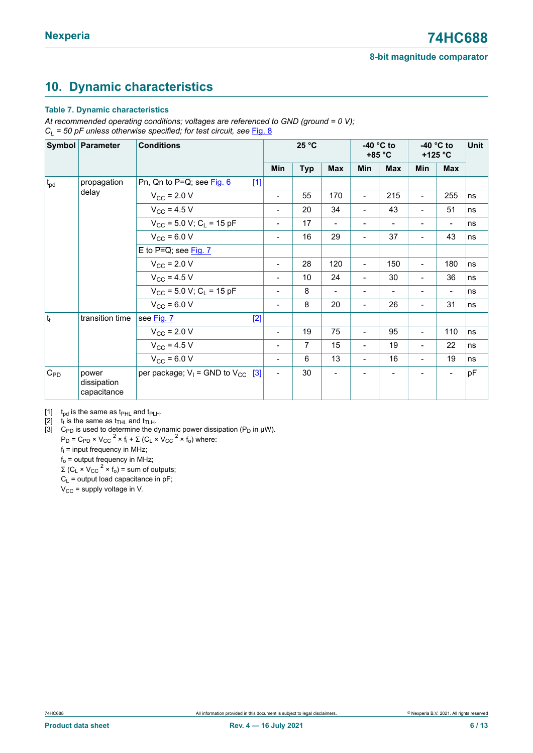# <span id="page-5-1"></span><span id="page-5-0"></span>**10. Dynamic characteristics**

### **Table 7. Dynamic characteristics**

*At recommended operating conditions; voltages are referenced to GND (ground = 0 V);*  $C_L$  = 50 pF unless otherwise specified; for test circuit, see **[Fig. 8](#page-7-0)** 

|              | Symbol Parameter                    | 25 °C<br><b>Conditions</b>               |                              |                 | -40 $^{\circ}$ C to<br>$+85 °C$ |                              | -40 $^{\circ}$ C to<br>+125 °C |                          | Unit                     |    |
|--------------|-------------------------------------|------------------------------------------|------------------------------|-----------------|---------------------------------|------------------------------|--------------------------------|--------------------------|--------------------------|----|
|              |                                     |                                          | Min                          | <b>Typ</b>      | <b>Max</b>                      | Min                          | <b>Max</b>                     | Min                      | <b>Max</b>               |    |
| $t_{\rm pd}$ | propagation                         | Pn, Qn to P=Q; see Fig. 6<br>$[1]$       |                              |                 |                                 |                              |                                |                          |                          |    |
|              | delay                               | $V_{\rm CC}$ = 2.0 V                     | $\overline{\phantom{a}}$     | 55              | 170                             | Ξ.                           | 215                            | $\blacksquare$           | 255                      | ns |
|              |                                     | $V_{\rm CC}$ = 4.5 V                     | $\blacksquare$               | 20              | 34                              | $\blacksquare$               | 43                             | $\blacksquare$           | 51                       | ns |
|              |                                     | $V_{CC}$ = 5.0 V; C <sub>L</sub> = 15 pF | $\blacksquare$               | 17              | $\blacksquare$                  | $\qquad \qquad \blacksquare$ |                                | $\overline{\phantom{a}}$ | $\overline{\phantom{a}}$ | ns |
|              |                                     | $V_{CC}$ = 6.0 V                         | $\blacksquare$               | 16              | 29                              | $\blacksquare$               | 37                             | $\blacksquare$           | 43                       | ns |
|              |                                     | $E$ to $\overline{P} = Q$ ; see $Fig. 7$ |                              |                 |                                 |                              |                                |                          |                          |    |
|              |                                     | $V_{CC}$ = 2.0 V                         | $\overline{\phantom{a}}$     | 28              | 120                             | $\blacksquare$               | 150                            | $\blacksquare$           | 180                      | ns |
|              |                                     | $V_{\rm CC}$ = 4.5 V                     | $\overline{\phantom{a}}$     | 10 <sup>1</sup> | 24                              |                              | 30                             |                          | 36                       | ns |
|              |                                     | $V_{CC}$ = 5.0 V; C <sub>1</sub> = 15 pF | $\blacksquare$               | 8               |                                 |                              |                                |                          | $\blacksquare$           | ns |
|              |                                     | $V_{CC}$ = 6.0 V                         | $\blacksquare$               | 8               | 20                              | $\qquad \qquad \blacksquare$ | 26                             | $\overline{\phantom{a}}$ | 31                       | ns |
| $ t_t $      | transition time                     | $[2]$<br>see Fig. 7                      |                              |                 |                                 |                              |                                |                          |                          |    |
|              |                                     | $V_{\rm CC}$ = 2.0 V                     | $\overline{\phantom{a}}$     | 19              | 75                              | $\overline{\phantom{0}}$     | 95                             | $\blacksquare$           | 110                      | ns |
|              | $V_{\rm CC}$ = 4.5 V                | $\overline{\phantom{a}}$                 | $\overline{7}$               | 15              | $\overline{\phantom{0}}$        | 19                           | $\overline{\phantom{a}}$       | 22                       | ns                       |    |
|              |                                     | $V_{CC}$ = 6.0 V                         | $\overline{\phantom{a}}$     | 6               | 13                              | $\overline{\phantom{0}}$     | 16                             | $\overline{\phantom{a}}$ | 19                       | ns |
| $C_{PD}$     | power<br>dissipation<br>capacitance | per package; $V_1$ = GND to $V_{CC}$ [3] | $\qquad \qquad \blacksquare$ | 30              |                                 |                              |                                |                          | $\overline{\phantom{a}}$ | pF |

[1]  $\;$  t<sub>pd</sub> is the same as t<sub>PHL</sub> and t<sub>PLH</sub>.

[2]  $t_{\rm t}$  is the same as  $t_{\rm THL}$  and  $t_{\rm TLH}$ .

[3]  $C_{PD}$  is used to determine the dynamic power dissipation (P<sub>D</sub> in  $\mu$ W).

 $P_D = C_{PD} \times V_{CC}^2 \times f_i + \Sigma (C_L \times V_{CC}^2 \times f_o)$  where:

fi = input frequency in MHz;

 $f_0$  = output frequency in MHz;

 $\Sigma$  (C<sub>L</sub> × V<sub>CC</sub><sup>2</sup> × f<sub>o</sub>) = sum of outputs;

 $C_L$  = output load capacitance in pF;

 $V_{CC}$  = supply voltage in V.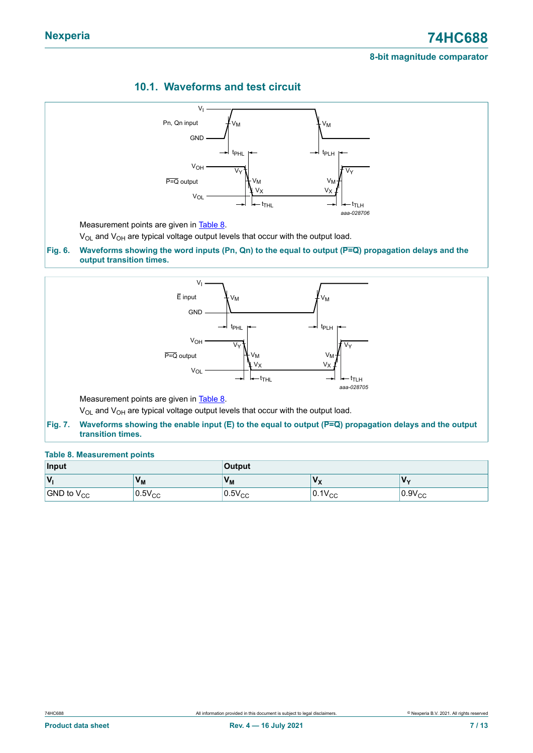### <span id="page-6-3"></span>**10.1. Waveforms and test circuit**

<span id="page-6-0"></span>

Measurement points are given in [Table](#page-6-2) 8.

 $V_{OL}$  and  $V_{OH}$  are typical voltage output levels that occur with the output load.

<span id="page-6-1"></span>**Fig. 6. Waveforms showing the word inputs (Pn, Qn) to the equal to output (P=Q) propagation delays and the output transition times.**



Measurement points are given in [Table](#page-6-2) 8.

<span id="page-6-2"></span> $V_{OL}$  and  $V_{OH}$  are typical voltage output levels that occur with the output load.

#### **Fig. 7. Waveforms showing the enable input (E) to the equal to output (P=Q) propagation delays and the output transition times.**

### **Table 8. Measurement points**

| Input           |             | <b>Output</b> |                      |              |
|-----------------|-------------|---------------|----------------------|--------------|
| $V_1$           | $V_{M}$     | $V_M$         | v.<br>'A             | $\mathsf{V}$ |
| GND to $V_{CC}$ | $0.5V_{CC}$ | $0.5V_{CC}$   | $ 0.1$ V $_{\rm CC}$ | $10.9V_{CC}$ |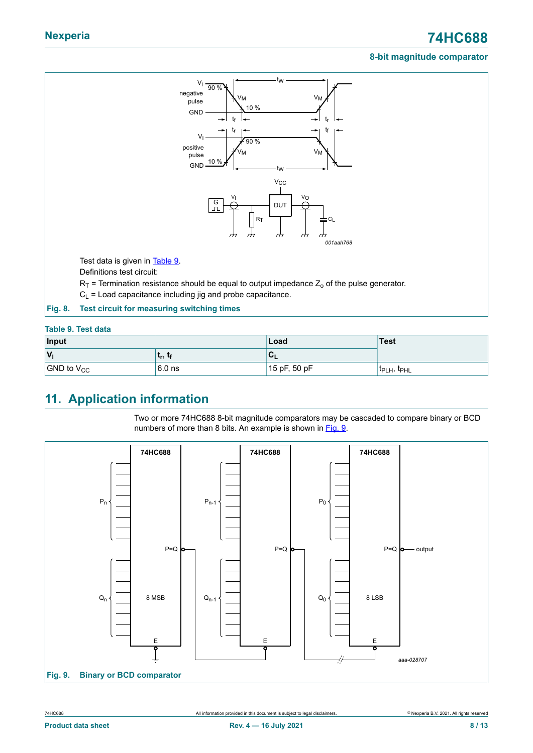# **Nexperia 74HC688**

### **8-bit magnitude comparator**

<span id="page-7-0"></span>

#### <span id="page-7-1"></span>**Fig. 8. Test circuit for measuring switching times**

| Table 9. Test data  |                                |                |                     |  |
|---------------------|--------------------------------|----------------|---------------------|--|
| Input               |                                | ∣Load          | <b>Test</b>         |  |
| V                   | լ <sub>է,</sub> լ <sub>ք</sub> | ັ∪             |                     |  |
| $ $ GND to $V_{CC}$ | 6.0 ns                         | $15$ pF, 50 pF | <b>I</b> TPLH, TPHL |  |

# <span id="page-7-3"></span>**11. Application information**

Two or more 74HC688 8-bit magnitude comparators may be cascaded to compare binary or BCD numbers of more than 8 bits. An example is shown in [Fig. 9](#page-7-2).

<span id="page-7-2"></span>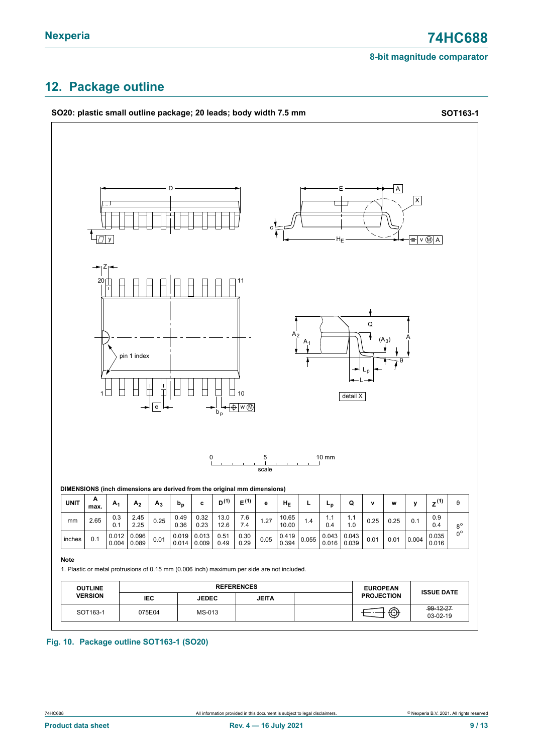## <span id="page-8-0"></span>**12. Package outline**



#### **Fig. 10. Package outline SOT163-1 (SO20)**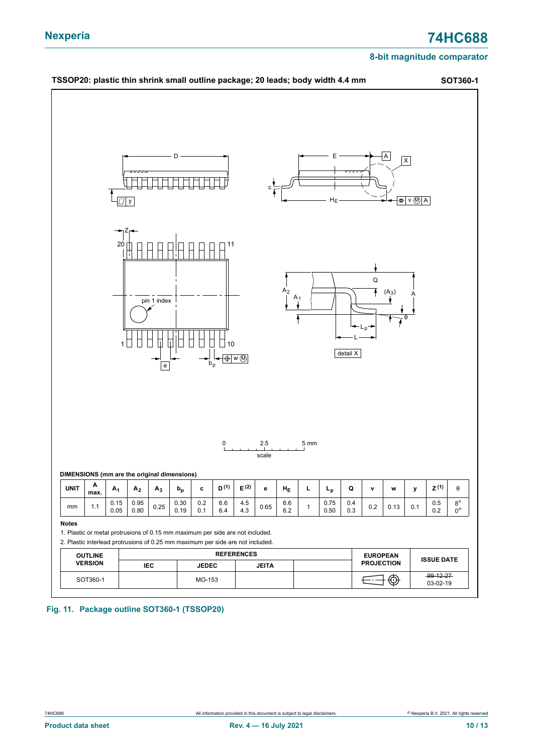

**Fig. 11. Package outline SOT360-1 (TSSOP20)**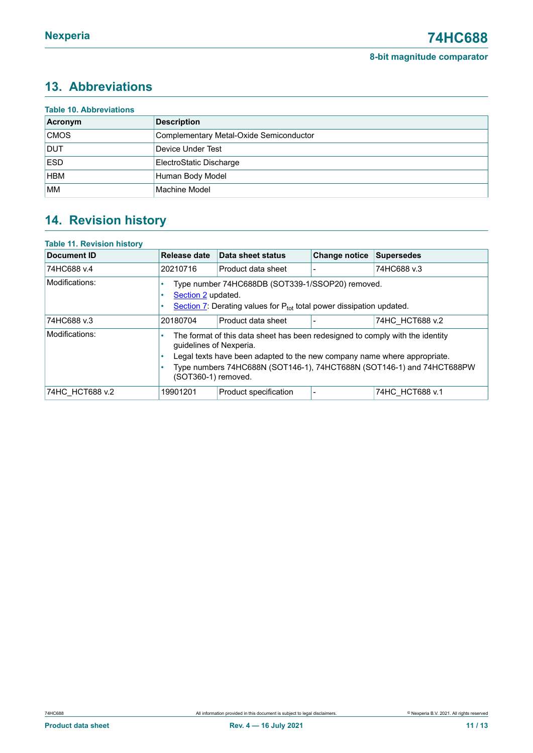## <span id="page-10-0"></span>**13. Abbreviations**

| Acronym     | <b>Description</b>                      |
|-------------|-----------------------------------------|
| <b>CMOS</b> | Complementary Metal-Oxide Semiconductor |
| <b>DUT</b>  | Device Under Test                       |
| <b>ESD</b>  | ElectroStatic Discharge                 |
| <b>HBM</b>  | Human Body Model                        |
| <b>MM</b>   | Machine Model                           |

### <span id="page-10-1"></span>**14. Revision history**

### **Table 11. Revision history**

| Document ID     | Release date                                                                                                                                                                                                                                                                         | Data sheet status     | <b>Change notice</b> | <b>Supersedes</b> |  |
|-----------------|--------------------------------------------------------------------------------------------------------------------------------------------------------------------------------------------------------------------------------------------------------------------------------------|-----------------------|----------------------|-------------------|--|
| 74HC688 v.4     | 20210716                                                                                                                                                                                                                                                                             | Product data sheet    |                      | 74HC688 v.3       |  |
| Modifications:  | Type number 74HC688DB (SOT339-1/SSOP20) removed.<br>Section 2 updated.<br>Section 7: Derating values for $P_{tot}$ total power dissipation updated.                                                                                                                                  |                       |                      |                   |  |
| 74HC688 v.3     | 20180704                                                                                                                                                                                                                                                                             | Product data sheet    |                      | 74HC HCT688 v.2   |  |
| Modifications:  | The format of this data sheet has been redesigned to comply with the identity<br>quidelines of Nexperia.<br>Legal texts have been adapted to the new company name where appropriate.<br>Type numbers 74HC688N (SOT146-1), 74HCT688N (SOT146-1) and 74HCT688PW<br>(SOT360-1) removed. |                       |                      |                   |  |
| 74HC HCT688 v.2 | 19901201                                                                                                                                                                                                                                                                             | Product specification |                      | 74HC HCT688 v.1   |  |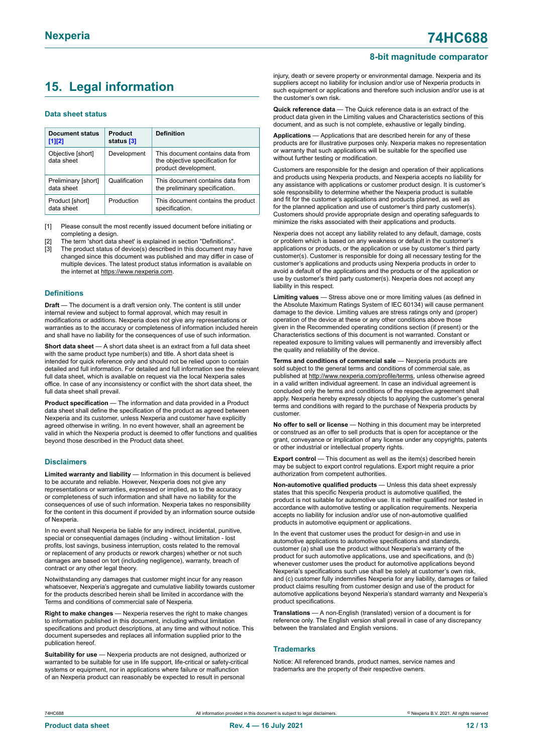# <span id="page-11-0"></span>**15. Legal information**

#### **Data sheet status**

| Document status<br>$[1]$ [2]      | Product<br>status [3] | <b>Definition</b>                                                                           |
|-----------------------------------|-----------------------|---------------------------------------------------------------------------------------------|
| Objective [short]<br>data sheet   | Development           | This document contains data from<br>the objective specification for<br>product development. |
| Preliminary [short]<br>data sheet | Qualification         | This document contains data from<br>the preliminary specification.                          |
| Product [short]<br>data sheet     | Production            | This document contains the product<br>specification.                                        |

[1] Please consult the most recently issued document before initiating or completing a design.

The term 'short data sheet' is explained in section "Definitions".

[3] The product status of device(s) described in this document may have changed since this document was published and may differ in case of multiple devices. The latest product status information is available on the internet at [https://www.nexperia.com.](https://www.nexperia.com)

#### **Definitions**

**Draft** — The document is a draft version only. The content is still under internal review and subject to formal approval, which may result in modifications or additions. Nexperia does not give any representations or warranties as to the accuracy or completeness of information included herein and shall have no liability for the consequences of use of such information.

**Short data sheet** — A short data sheet is an extract from a full data sheet with the same product type number(s) and title. A short data sheet is intended for quick reference only and should not be relied upon to contain detailed and full information. For detailed and full information see the relevant full data sheet, which is available on request via the local Nexperia sales office. In case of any inconsistency or conflict with the short data sheet, the full data sheet shall prevail.

**Product specification** — The information and data provided in a Product data sheet shall define the specification of the product as agreed between Nexperia and its customer, unless Nexperia and customer have explicitly agreed otherwise in writing. In no event however, shall an agreement be valid in which the Nexperia product is deemed to offer functions and qualities beyond those described in the Product data sheet.

#### **Disclaimers**

**Limited warranty and liability** — Information in this document is believed to be accurate and reliable. However, Nexperia does not give any representations or warranties, expressed or implied, as to the accuracy or completeness of such information and shall have no liability for the consequences of use of such information. Nexperia takes no responsibility for the content in this document if provided by an information source outside of Nexperia.

In no event shall Nexperia be liable for any indirect, incidental, punitive, special or consequential damages (including - without limitation - lost profits, lost savings, business interruption, costs related to the removal or replacement of any products or rework charges) whether or not such damages are based on tort (including negligence), warranty, breach of contract or any other legal theory.

Notwithstanding any damages that customer might incur for any reason whatsoever, Nexperia's aggregate and cumulative liability towards customer for the products described herein shall be limited in accordance with the Terms and conditions of commercial sale of Nexperia.

**Right to make changes** — Nexperia reserves the right to make changes to information published in this document, including without limitation specifications and product descriptions, at any time and without notice. This document supersedes and replaces all information supplied prior to the publication hereof.

**Suitability for use** — Nexperia products are not designed, authorized or warranted to be suitable for use in life support, life-critical or safety-critical systems or equipment, nor in applications where failure or malfunction of an Nexperia product can reasonably be expected to result in personal

injury, death or severe property or environmental damage. Nexperia and its suppliers accept no liability for inclusion and/or use of Nexperia products in such equipment or applications and therefore such inclusion and/or use is at the customer's own risk.

**Quick reference data** — The Quick reference data is an extract of the product data given in the Limiting values and Characteristics sections of this document, and as such is not complete, exhaustive or legally binding.

**Applications** — Applications that are described herein for any of these products are for illustrative purposes only. Nexperia makes no representation or warranty that such applications will be suitable for the specified use without further testing or modification.

Customers are responsible for the design and operation of their applications and products using Nexperia products, and Nexperia accepts no liability for any assistance with applications or customer product design. It is customer's sole responsibility to determine whether the Nexperia product is suitable and fit for the customer's applications and products planned, as well as for the planned application and use of customer's third party customer(s). Customers should provide appropriate design and operating safeguards to minimize the risks associated with their applications and products.

Nexperia does not accept any liability related to any default, damage, costs or problem which is based on any weakness or default in the customer's applications or products, or the application or use by customer's third party customer(s). Customer is responsible for doing all necessary testing for the customer's applications and products using Nexperia products in order to avoid a default of the applications and the products or of the application or use by customer's third party customer(s). Nexperia does not accept any liability in this respect.

**Limiting values** — Stress above one or more limiting values (as defined in the Absolute Maximum Ratings System of IEC 60134) will cause permanent damage to the device. Limiting values are stress ratings only and (proper) operation of the device at these or any other conditions above those given in the Recommended operating conditions section (if present) or the Characteristics sections of this document is not warranted. Constant or repeated exposure to limiting values will permanently and irreversibly affect the quality and reliability of the device.

**Terms and conditions of commercial sale** — Nexperia products are sold subject to the general terms and conditions of commercial sale, as published at [http://www.nexperia.com/profile/terms,](http://www.nexperia.com/profile/terms) unless otherwise agreed in a valid written individual agreement. In case an individual agreement is concluded only the terms and conditions of the respective agreement shall apply. Nexperia hereby expressly objects to applying the customer's general terms and conditions with regard to the purchase of Nexperia products by customer.

**No offer to sell or license** — Nothing in this document may be interpreted or construed as an offer to sell products that is open for acceptance or the grant, conveyance or implication of any license under any copyrights, patents or other industrial or intellectual property rights.

**Export control** — This document as well as the item(s) described herein may be subject to export control regulations. Export might require a prior authorization from competent authorities.

**Non-automotive qualified products** — Unless this data sheet expressly states that this specific Nexperia product is automotive qualified, the product is not suitable for automotive use. It is neither qualified nor tested in accordance with automotive testing or application requirements. Nexperia accepts no liability for inclusion and/or use of non-automotive qualified products in automotive equipment or applications.

In the event that customer uses the product for design-in and use in automotive applications to automotive specifications and standards, customer (a) shall use the product without Nexperia's warranty of the product for such automotive applications, use and specifications, and (b) whenever customer uses the product for automotive applications beyond Nexperia's specifications such use shall be solely at customer's own risk, and (c) customer fully indemnifies Nexperia for any liability, damages or failed product claims resulting from customer design and use of the product for automotive applications beyond Nexperia's standard warranty and Nexperia's product specifications.

**Translations** — A non-English (translated) version of a document is for reference only. The English version shall prevail in case of any discrepancy between the translated and English versions.

#### **Trademarks**

Notice: All referenced brands, product names, service names and trademarks are the property of their respective owners.